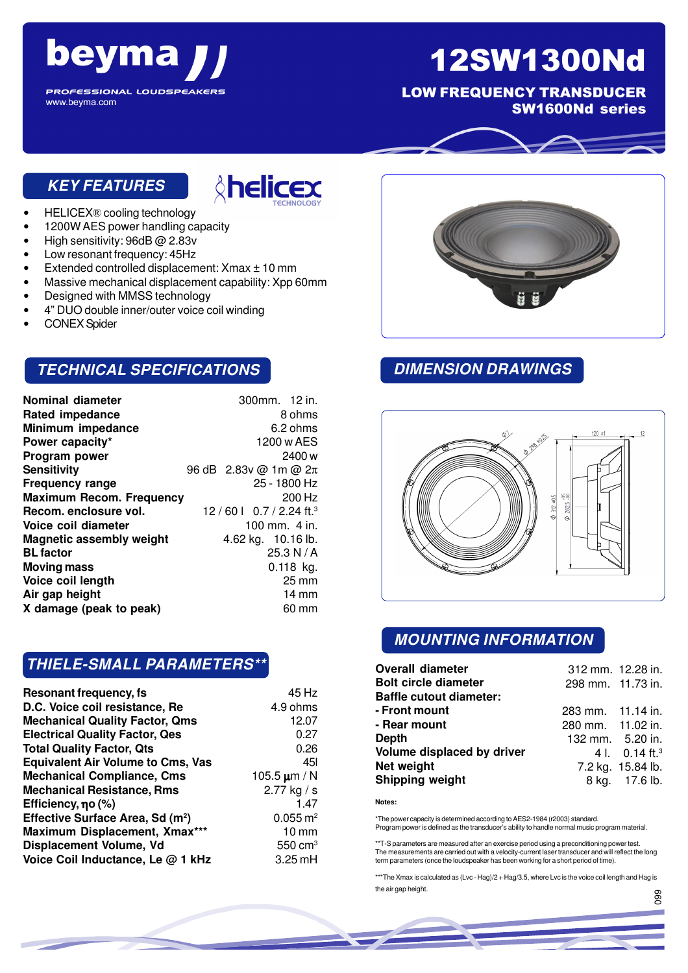# beyma

## 12SW1300Nd

LOW FREQUENCY TRANSDUCER SW1600Nd series

**PROFESSIONAL LOUDSPEAKERS** www.beyma.com

#### **KEY FEATURES**



- HELICEX® cooling technology
- 1200W AES power handling capacity
- High sensitivity: 96dB @ 2.83v
- Low resonant frequency: 45Hz
- Extended controlled displacement: Xmax ± 10 mm
- Massive mechanical displacement capability: Xpp 60mm
- Designed with MMSS technology
- 4" DUO double inner/outer voice coil winding
- CONEX Spider

#### **TECHNICAL SPECIFICATIONS**

| 300mm. 12 in.                             |
|-------------------------------------------|
| 8 ohms                                    |
| 6.2 ohms                                  |
| 1200 w AES                                |
| 2400 w                                    |
| 96 dB 2.83v @ 1m @ 2π                     |
| 25 - 1800 Hz                              |
| 200 Hz<br><b>Maximum Recom. Frequency</b> |
| 12/60 $\mid$ 0.7/2.24 ft. <sup>3</sup>    |
| 100 mm. 4 in.                             |
| 4.62 kg. 10.16 lb.                        |
| 25.3 N/A                                  |
| $0.118$ kg.                               |
| $25 \,\mathrm{mm}$                        |
| $14 \text{ mm}$                           |
| 60 mm                                     |
|                                           |

#### **THIELE-SMALL PARAMETERS\*\***

| Resonant frequency, fs                       | 45 Hz                 |
|----------------------------------------------|-----------------------|
| D.C. Voice coil resistance, Re               | 4.9 ohms              |
| <b>Mechanical Quality Factor, Qms</b>        | 12.07                 |
| <b>Electrical Quality Factor, Qes</b>        | 0.27                  |
| <b>Total Quality Factor, Qts</b>             | 0.26                  |
| <b>Equivalent Air Volume to Cms, Vas</b>     | 451                   |
| <b>Mechanical Compliance, Cms</b>            | 105.5 $\mu$ m / N     |
| <b>Mechanical Resistance, Rms</b>            | 2.77 kg / s           |
| Efficiency, no (%)                           | 1.47                  |
| Effective Surface Area, Sd (m <sup>2</sup> ) | $0.055 \, \text{m}^2$ |
| Maximum Displacement, Xmax***                | $10 \, \text{mm}$     |
| <b>Displacement Volume, Vd</b>               | $550 \text{ cm}^3$    |
| Voice Coil Inductance, Le @ 1 kHz            | $3.25$ mH             |



#### **DIMENSION DRAWINGS**



#### **MOUNTING INFORMATION**

| <b>Overall diameter</b>        | 312 mm. 12.28 in. |                              |
|--------------------------------|-------------------|------------------------------|
| <b>Bolt circle diameter</b>    | 298 mm. 11.73 in. |                              |
| <b>Baffle cutout diameter:</b> |                   |                              |
| - Front mount                  | 283 mm. 11.14 in. |                              |
| - Rear mount                   | 280 mm. 11.02 in. |                              |
| Depth                          | 132 mm. 5.20 in.  |                              |
| Volume displaced by driver     |                   | 4 l. $0.14$ ft. <sup>3</sup> |
| Net weight                     |                   | 7.2 kg. 15.84 lb.            |
| Shipping weight                |                   | 8 kg. 17.6 lb.               |

**Notes:**

\*The power capacity is determined according to AES2-1984 (r2003) standard. Program power is defined as the transducer's ability to handle normal music program material.

\*\*T-S parameters are measured after an exercise period using a preconditioning power test. The measurements are carried out with a velocity-current laser transducer and will reflect the long term parameters (once the loudspeaker has been working for a short period of time).

\*\*\*The Xmax is calculated as (Lvc - Hag)/2 + Hag/3.5, where Lvc is the voice coil length and Hag is the air gap height. 099

056